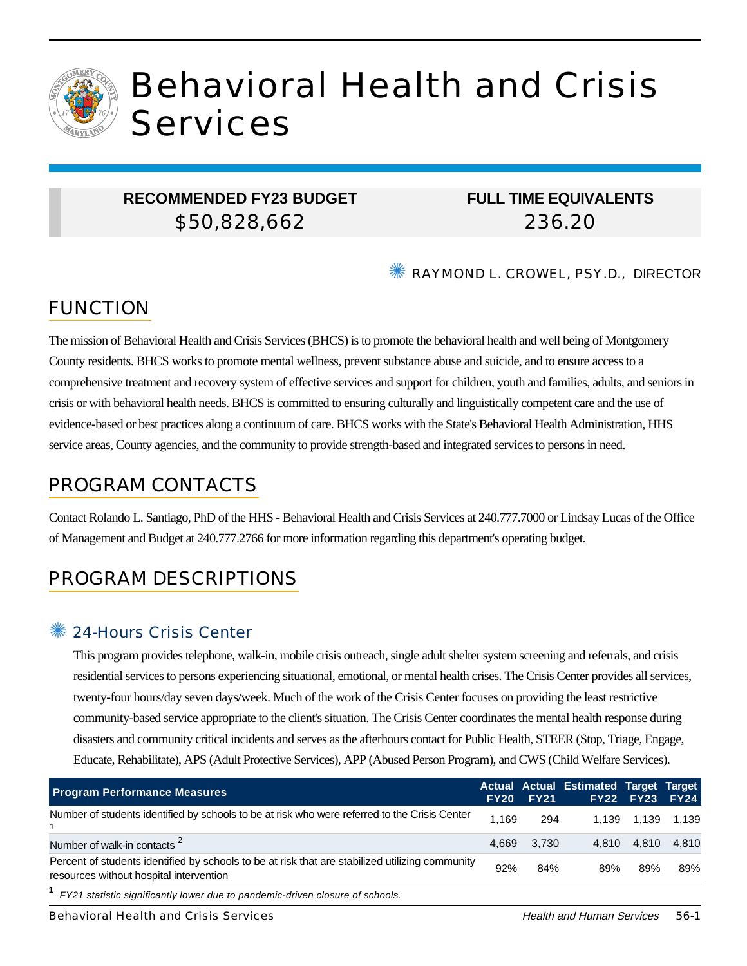

# Behavioral Health and Crisis Services

## **RECOMMENDED FY23 BUDGET** \$50,828,662

# **FULL TIME EQUIVALENTS** 236.20

✺ RAYMOND L. CROWEL, PSY.D., DIRECTOR

# FUNCTION

The mission of Behavioral Health and Crisis Services (BHCS) is to promote the behavioral health and well being of Montgomery County residents. BHCS works to promote mental wellness, prevent substance abuse and suicide, and to ensure access to a comprehensive treatment and recovery system of effective services and support for children, youth and families, adults, and seniors in crisis or with behavioral health needs. BHCS is committed to ensuring culturally and linguistically competent care and the use of evidence-based or best practices along a continuum of care. BHCS works with the State's Behavioral Health Administration, HHS service areas, County agencies, and the community to provide strength-based and integrated services to persons in need.

# PROGRAM CONTACTS

Contact Rolando L. Santiago, PhD of the HHS - Behavioral Health and Crisis Services at 240.777.7000 or Lindsay Lucas of the Office of Management and Budget at 240.777.2766 for more information regarding this department's operating budget.

# PROGRAM DESCRIPTIONS

## 24-Hours Crisis Center

This program provides telephone, walk-in, mobile crisis outreach, single adult shelter system screening and referrals, and crisis residential services to persons experiencing situational, emotional, or mental health crises. The Crisis Center provides all services, twenty-four hours/day seven days/week. Much of the work of the Crisis Center focuses on providing the least restrictive community-based service appropriate to the client's situation. The Crisis Center coordinates the mental health response during disasters and community critical incidents and serves as the afterhours contact for Public Health, STEER (Stop, Triage, Engage, Educate, Rehabilitate), APS (Adult Protective Services), APP (Abused Person Program), and CWS (Child Welfare Services).

| <b>Program Performance Measures</b>                                                                                                        |       | <b>FY20 FY21</b> | Actual Actual Estimated Target Target | FY22 FY23 FY24 |             |
|--------------------------------------------------------------------------------------------------------------------------------------------|-------|------------------|---------------------------------------|----------------|-------------|
| Number of students identified by schools to be at risk who were referred to the Crisis Center                                              | 1.169 | 294              |                                       | 1.139 1.139    | 1.139       |
| Number of walk-in contacts <sup>2</sup>                                                                                                    | 4.669 | 3.730            | 4.810                                 |                | 4.810 4.810 |
| Percent of students identified by schools to be at risk that are stabilized utilizing community<br>resources without hospital intervention | 92%   | 84%              | 89%                                   | 89%            | 89%         |
| <sup>1</sup> FY21 statistic significantly lower due to pandemic-driven closure of schools.                                                 |       |                  |                                       |                |             |

Behavioral Health and Crisis Services **Health and Human Services** 56-1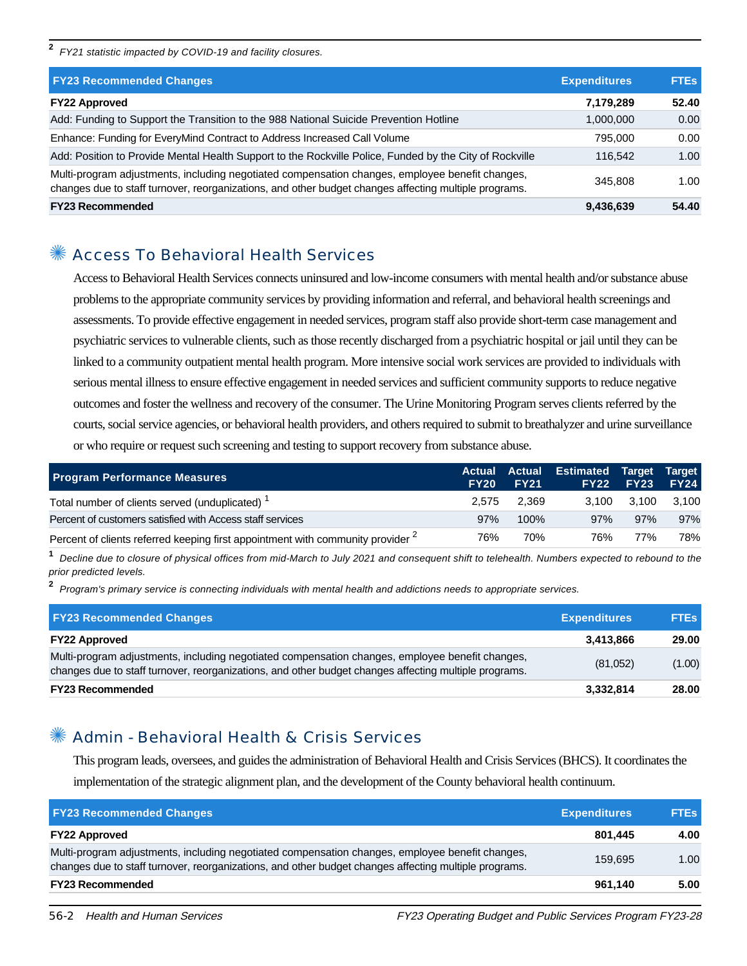**2** FY21 statistic impacted by COVID-19 and facility closures.

| <b>FY23 Recommended Changes</b>                                                                                                                                                                          | <b>Expenditures</b> | <b>FTEs</b> |
|----------------------------------------------------------------------------------------------------------------------------------------------------------------------------------------------------------|---------------------|-------------|
| <b>FY22 Approved</b>                                                                                                                                                                                     | 7,179,289           | 52.40       |
| Add: Funding to Support the Transition to the 988 National Suicide Prevention Hotline                                                                                                                    | 1,000,000           | 0.00        |
| Enhance: Funding for EveryMind Contract to Address Increased Call Volume                                                                                                                                 | 795.000             | 0.00        |
| Add: Position to Provide Mental Health Support to the Rockville Police, Funded by the City of Rockville                                                                                                  | 116.542             | 1.00        |
| Multi-program adjustments, including negotiated compensation changes, employee benefit changes,<br>changes due to staff turnover, reorganizations, and other budget changes affecting multiple programs. | 345,808             | 1.00        |
| <b>FY23 Recommended</b>                                                                                                                                                                                  | 9,436,639           | 54.40       |

## ✺ Access To Behavioral Health Services

Access to Behavioral Health Services connects uninsured and low-income consumers with mental health and/or substance abuse problems to the appropriate community services by providing information and referral, and behavioral health screenings and assessments. To provide effective engagement in needed services, program staff also provide short-term case management and psychiatric services to vulnerable clients, such as those recently discharged from a psychiatric hospital or jail until they can be linked to a community outpatient mental health program. More intensive social work services are provided to individuals with serious mental illness to ensure effective engagement in needed services and sufficient community supports to reduce negative outcomes and foster the wellness and recovery of the consumer. The Urine Monitoring Program serves clients referred by the courts, social service agencies, or behavioral health providers, and others required to submit to breathalyzer and urine surveillance or who require or request such screening and testing to support recovery from substance abuse.

| <b>Program Performance Measures</b>                                                        | <b>FY20</b> | <b>FY21</b> | Actual Actual Estimated Target Target | <b>FY22 FY23</b> | <b>FY24</b> |
|--------------------------------------------------------------------------------------------|-------------|-------------|---------------------------------------|------------------|-------------|
| Total number of clients served (unduplicated) <sup>1</sup>                                 | 2.575       | 2.369       | 3.100                                 | 3.100            | 3.100       |
| Percent of customers satisfied with Access staff services                                  | 97%         | 100%        | 97%                                   | 97%              | 97%         |
| Percent of clients referred keeping first appointment with community provider <sup>2</sup> | 76%         | 70%         | 76%                                   | 77%              | 78%         |

**1** Decline due to closure of physical offices from mid-March to July 2021 and consequent shift to telehealth. Numbers expected to rebound to the prior predicted levels.

**2** Program's primary service is connecting individuals with mental health and addictions needs to appropriate services.

| <b>FY23 Recommended Changes</b>                                                                                                                                                                          | <b>Expenditures</b> | <b>FTEs</b> |
|----------------------------------------------------------------------------------------------------------------------------------------------------------------------------------------------------------|---------------------|-------------|
| <b>FY22 Approved</b>                                                                                                                                                                                     | 3,413,866           | 29.00       |
| Multi-program adjustments, including negotiated compensation changes, employee benefit changes,<br>changes due to staff turnover, reorganizations, and other budget changes affecting multiple programs. | (81,052)            | (1.00)      |
| <b>FY23 Recommended</b>                                                                                                                                                                                  | 3,332,814           | 28.00       |

## ✺ Admin - Behavioral Health & Crisis Services

This program leads, oversees, and guides the administration of Behavioral Health and Crisis Services (BHCS). It coordinates the implementation of the strategic alignment plan, and the development of the County behavioral health continuum.

| <b>FY23 Recommended Changes</b>                                                                                                                                                                          | <b>Expenditures</b> | <b>FTEs</b> |
|----------------------------------------------------------------------------------------------------------------------------------------------------------------------------------------------------------|---------------------|-------------|
| <b>FY22 Approved</b>                                                                                                                                                                                     | 801.445             | 4.00        |
| Multi-program adjustments, including negotiated compensation changes, employee benefit changes,<br>changes due to staff turnover, reorganizations, and other budget changes affecting multiple programs. | 159.695             | 1.00        |
| <b>FY23 Recommended</b>                                                                                                                                                                                  | 961.140             | 5.00        |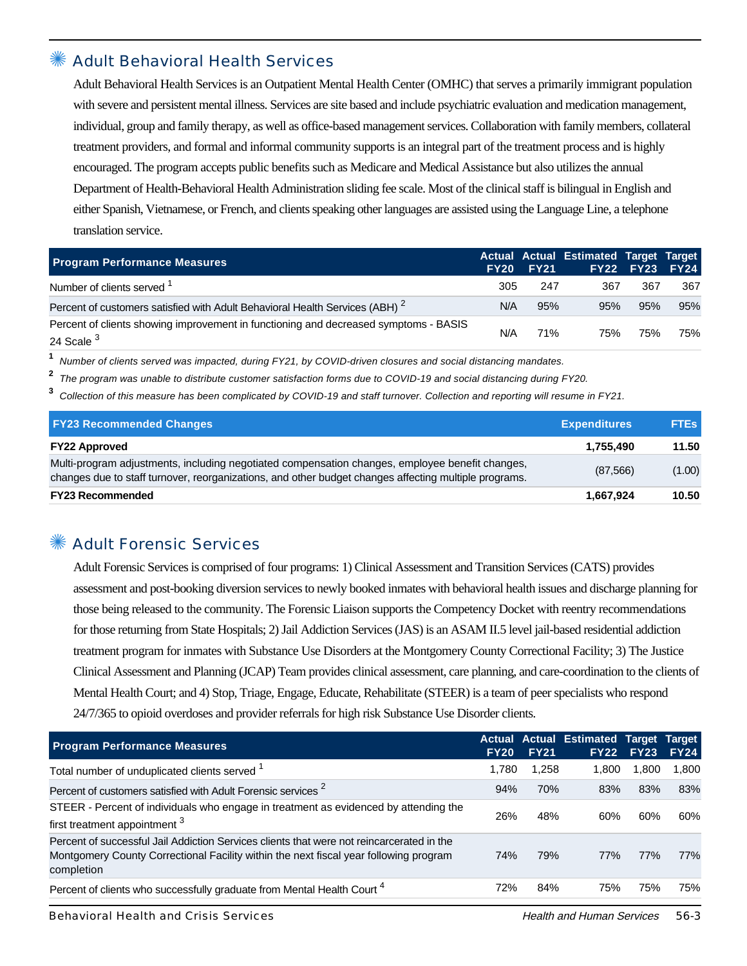#### Adult Behavioral Health Services

Adult Behavioral Health Services is an Outpatient Mental Health Center (OMHC) that serves a primarily immigrant population with severe and persistent mental illness. Services are site based and include psychiatric evaluation and medication management, individual, group and family therapy, as well as office-based management services. Collaboration with family members, collateral treatment providers, and formal and informal community supports is an integral part of the treatment process and is highly encouraged. The program accepts public benefits such as Medicare and Medical Assistance but also utilizes the annual Department of Health-Behavioral Health Administration sliding fee scale. Most of the clinical staff is bilingual in English and either Spanish, Vietnamese, or French, and clients speaking other languages are assisted using the Language Line, a telephone translation service.

| <b>Program Performance Measures</b>                                                                           |     | FY20 FY21 | Actual Actual Estimated Target Target | <b>FY22 FY23 FY24</b> |     |
|---------------------------------------------------------------------------------------------------------------|-----|-----------|---------------------------------------|-----------------------|-----|
| Number of clients served <sup>1</sup>                                                                         | 305 | 247       | 367                                   | 367                   | 367 |
| Percent of customers satisfied with Adult Behavioral Health Services (ABH) <sup>2</sup>                       | N/A | 95%       | 95%                                   | 95%                   | 95% |
| Percent of clients showing improvement in functioning and decreased symptoms - BASIS<br>24 Scale <sup>3</sup> | N/A | 71%       | 75%                                   | 75%                   | 75% |

**1** Number of clients served was impacted, during FY21, by COVID-driven closures and social distancing mandates.

**2** The program was unable to distribute customer satisfaction forms due to COVID-19 and social distancing during FY20.

**3** Collection of this measure has been complicated by COVID-19 and staff turnover. Collection and reporting will resume in FY21.

| <b>FY23 Recommended Changes</b>                                                                                                                                                                          | <b>Expenditures</b> | <b>FTEs</b> |
|----------------------------------------------------------------------------------------------------------------------------------------------------------------------------------------------------------|---------------------|-------------|
| <b>FY22 Approved</b>                                                                                                                                                                                     | 1.755.490           | 11.50       |
| Multi-program adjustments, including negotiated compensation changes, employee benefit changes,<br>changes due to staff turnover, reorganizations, and other budget changes affecting multiple programs. | (87,566)            | (1.00)      |
| <b>FY23 Recommended</b>                                                                                                                                                                                  | 1,667,924           | 10.50       |

### ✺ Adult Forensic Services

Adult Forensic Services is comprised of four programs: 1) Clinical Assessment and Transition Services (CATS) provides assessment and post-booking diversion services to newly booked inmates with behavioral health issues and discharge planning for those being released to the community. The Forensic Liaison supports the Competency Docket with reentry recommendations for those returning from State Hospitals; 2) Jail Addiction Services (JAS) is an ASAM II.5 level jail-based residential addiction treatment program for inmates with Substance Use Disorders at the Montgomery County Correctional Facility; 3) The Justice Clinical Assessment and Planning (JCAP) Team provides clinical assessment, care planning, and care-coordination to the clients of Mental Health Court; and 4) Stop, Triage, Engage, Educate, Rehabilitate (STEER) is a team of peer specialists who respond 24/7/365 to opioid overdoses and provider referrals for high risk Substance Use Disorder clients.

| <b>Program Performance Measures</b>                                                                                                                                                              | <b>FY20</b> | <b>FY21</b> | <b>Actual Actual Estimated Target</b><br><b>FY22</b> | <b>FY23</b> | Target<br><b>FY24</b> |
|--------------------------------------------------------------------------------------------------------------------------------------------------------------------------------------------------|-------------|-------------|------------------------------------------------------|-------------|-----------------------|
| Total number of unduplicated clients served <sup>1</sup>                                                                                                                                         | 1.780       | 1,258       | 1.800                                                | 1.800       | 1,800                 |
| Percent of customers satisfied with Adult Forensic services <sup>2</sup>                                                                                                                         | 94%         | 70%         | 83%                                                  | 83%         | 83%                   |
| STEER - Percent of individuals who engage in treatment as evidenced by attending the<br>first treatment appointment 3                                                                            | 26%         | 48%         | 60%                                                  | 60%         | 60%                   |
| Percent of successful Jail Addiction Services clients that were not reincarcerated in the<br>Montgomery County Correctional Facility within the next fiscal year following program<br>completion | 74%         | 79%         | 77%                                                  | 77%         | 77%                   |
| Percent of clients who successfully graduate from Mental Health Court <sup>4</sup>                                                                                                               | 72%         | 84%         | 75%                                                  | 75%         | 75%                   |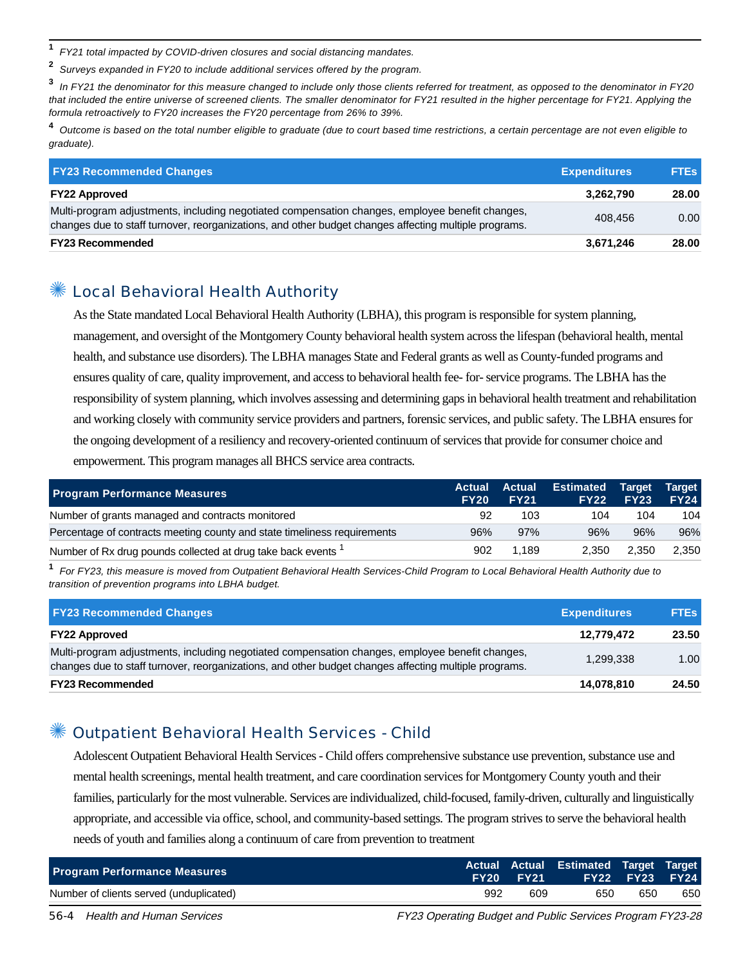**1** FY21 total impacted by COVID-driven closures and social distancing mandates.

**2** Surveys expanded in FY20 to include additional services offered by the program.

**3** In FY21 the denominator for this measure changed to include only those clients referred for treatment, as opposed to the denominator in FY20 that included the entire universe of screened clients. The smaller denominator for FY21 resulted in the higher percentage for FY21. Applying the formula retroactively to FY20 increases the FY20 percentage from 26% to 39%.

**4** Outcome is based on the total number eligible to graduate (due to court based time restrictions, a certain percentage are not even eligible to graduate).

| <b>FY23 Recommended Changes</b>                                                                                                                                                                          | <b>Expenditures</b> | <b>FTES</b> |
|----------------------------------------------------------------------------------------------------------------------------------------------------------------------------------------------------------|---------------------|-------------|
| <b>FY22 Approved</b>                                                                                                                                                                                     | 3,262,790           | 28.00       |
| Multi-program adjustments, including negotiated compensation changes, employee benefit changes,<br>changes due to staff turnover, reorganizations, and other budget changes affecting multiple programs. | 408,456             | 0.00        |
| <b>FY23 Recommended</b>                                                                                                                                                                                  | 3,671,246           | 28.00       |

#### Local Behavioral Health Authority

As the State mandated Local Behavioral Health Authority (LBHA), this program is responsible for system planning, management, and oversight of the Montgomery County behavioral health system across the lifespan (behavioral health, mental health, and substance use disorders). The LBHA manages State and Federal grants as well as County-funded programs and ensures quality of care, quality improvement, and access to behavioral health fee- for- service programs. The LBHA has the responsibility of system planning, which involves assessing and determining gaps in behavioral health treatment and rehabilitation and working closely with community service providers and partners, forensic services, and public safety. The LBHA ensures for the ongoing development of a resiliency and recovery-oriented continuum of services that provide for consumer choice and empowerment. This program manages all BHCS service area contracts.

| <b>Program Performance Measures</b>                                      | <b>Actual</b><br><b>FY20</b> | Actual<br><b>FY21</b> | <b>Estimated</b><br><b>FY22</b> | Target<br><b>FY23</b> | Target<br><b>FY24</b> |
|--------------------------------------------------------------------------|------------------------------|-----------------------|---------------------------------|-----------------------|-----------------------|
| Number of grants managed and contracts monitored                         | 92                           | 103                   | 104                             | 104                   | 104                   |
| Percentage of contracts meeting county and state timeliness requirements | 96%                          | 97%                   | 96%                             | 96%                   | 96%                   |
| Number of Rx drug pounds collected at drug take back events              | 902                          | 1.189                 | 2.350                           | 2.350                 | 2.350                 |

**1** For FY23, this measure is moved from Outpatient Behavioral Health Services-Child Program to Local Behavioral Health Authority due to transition of prevention programs into LBHA budget.

| <b>FY23 Recommended Changes</b>                                                                                                                                                                          | <b>Expenditures</b> | <b>FTEs</b> |
|----------------------------------------------------------------------------------------------------------------------------------------------------------------------------------------------------------|---------------------|-------------|
| <b>FY22 Approved</b>                                                                                                                                                                                     | 12,779,472          | 23.50       |
| Multi-program adjustments, including negotiated compensation changes, employee benefit changes,<br>changes due to staff turnover, reorganizations, and other budget changes affecting multiple programs. | 1,299,338           | 1.00        |
| <b>FY23 Recommended</b>                                                                                                                                                                                  | 14,078,810          | 24.50       |

## ✺ Outpatient Behavioral Health Services - Child

Adolescent Outpatient Behavioral Health Services - Child offers comprehensive substance use prevention, substance use and mental health screenings, mental health treatment, and care coordination services for Montgomery County youth and their families, particularly for the most vulnerable. Services are individualized, child-focused, family-driven, culturally and linguistically appropriate, and accessible via office, school, and community-based settings. The program strives to serve the behavioral health needs of youth and families along a continuum of care from prevention to treatment

| <b>Program Performance Measures</b>     |     | <b>FY20 FY21</b> | Actual Actual Estimated Target Target | FY22 FY23 FY24 |     |
|-----------------------------------------|-----|------------------|---------------------------------------|----------------|-----|
| Number of clients served (unduplicated) | 992 | 609              | 650                                   | 650            | 650 |

56-4 Health and Human Services FREE FREE FREE FY23 Operating Budget and Public Services Program FY23-28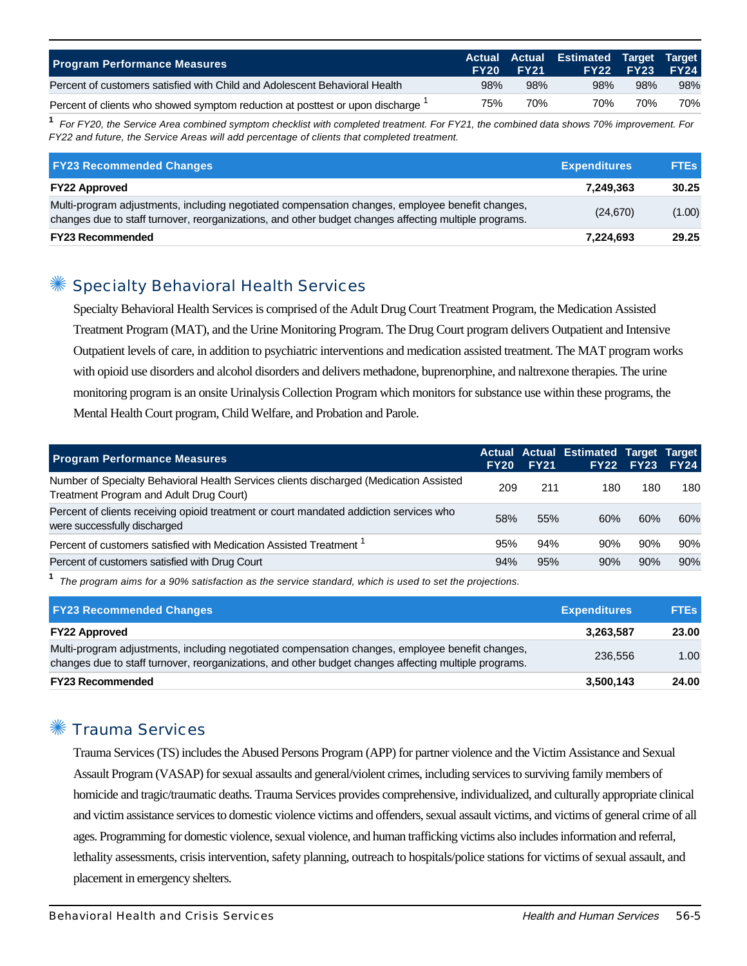| <b>Program Performance Measures</b>                                           | <b>FY20</b> | <b>FY21</b> | Actual Actual Estimated Target Target | <b>FY22 FY23</b> | <b>FY24</b> |
|-------------------------------------------------------------------------------|-------------|-------------|---------------------------------------|------------------|-------------|
| Percent of customers satisfied with Child and Adolescent Behavioral Health    | 98%         | 98%         | 98%                                   | 98%              | 98%         |
| Percent of clients who showed symptom reduction at posttest or upon discharge | 75%         | 70%         | 70%                                   | 70%              | 70%         |

**1** For FY20, the Service Area combined symptom checklist with completed treatment. For FY21, the combined data shows 70% improvement. For FY22 and future, the Service Areas will add percentage of clients that completed treatment.

| <b>FY23 Recommended Changes</b>                                                                                                                                                                          | <b>Expenditures</b> | <b>FTEs</b> |
|----------------------------------------------------------------------------------------------------------------------------------------------------------------------------------------------------------|---------------------|-------------|
| <b>FY22 Approved</b>                                                                                                                                                                                     | 7.249.363           | 30.25       |
| Multi-program adjustments, including negotiated compensation changes, employee benefit changes,<br>changes due to staff turnover, reorganizations, and other budget changes affecting multiple programs. | (24, 670)           | (1.00)      |
| <b>FY23 Recommended</b>                                                                                                                                                                                  | 7.224.693           | 29.25       |

#### ✺ Specialty Behavioral Health Services

Specialty Behavioral Health Services is comprised of the Adult Drug Court Treatment Program, the Medication Assisted Treatment Program (MAT), and the Urine Monitoring Program. The Drug Court program delivers Outpatient and Intensive Outpatient levels of care, in addition to psychiatric interventions and medication assisted treatment. The MAT program works with opioid use disorders and alcohol disorders and delivers methadone, buprenorphine, and naltrexone therapies. The urine monitoring program is an onsite Urinalysis Collection Program which monitors for substance use within these programs, the Mental Health Court program, Child Welfare, and Probation and Parole.

| <b>Program Performance Measures</b>                                                                                               | <b>FY20</b> | <b>FY21</b> | <b>Actual Actual Estimated Target Target</b> | <b>FY22 FY23</b> | <b>FY24</b> |
|-----------------------------------------------------------------------------------------------------------------------------------|-------------|-------------|----------------------------------------------|------------------|-------------|
| Number of Specialty Behavioral Health Services clients discharged (Medication Assisted<br>Treatment Program and Adult Drug Court) | 209         | 211         | 180                                          | 180              | 180         |
| Percent of clients receiving opioid treatment or court mandated addiction services who<br>were successfully discharged            | 58%         | 55%         | 60%                                          | 60%              | 60%         |
| Percent of customers satisfied with Medication Assisted Treatment <sup>1</sup>                                                    | 95%         | 94%         | 90%                                          | 90%              | 90%         |
| Percent of customers satisfied with Drug Court                                                                                    | 94%         | 95%         | 90%                                          | 90%              | 90%         |

**1** The program aims for a 90% satisfaction as the service standard, which is used to set the projections.

| <b>FY23 Recommended Changes</b>                                                                                                                                                                          | <b>Expenditures</b> | <b>FTEs</b> |
|----------------------------------------------------------------------------------------------------------------------------------------------------------------------------------------------------------|---------------------|-------------|
| <b>FY22 Approved</b>                                                                                                                                                                                     | 3,263,587           | 23.00       |
| Multi-program adjustments, including negotiated compensation changes, employee benefit changes,<br>changes due to staff turnover, reorganizations, and other budget changes affecting multiple programs. | 236,556             | 1.00        |
| <b>FY23 Recommended</b>                                                                                                                                                                                  | 3,500,143           | 24.00       |

## ✺ Trauma Services

Trauma Services (TS) includes the Abused Persons Program (APP) for partner violence and the Victim Assistance and Sexual Assault Program (VASAP) for sexual assaults and general/violent crimes, including services to surviving family members of homicide and tragic/traumatic deaths. Trauma Services provides comprehensive, individualized, and culturally appropriate clinical and victim assistance services to domestic violence victims and offenders, sexual assault victims, and victims of general crime of all ages. Programming for domestic violence, sexual violence, and human trafficking victims also includes information and referral, lethality assessments, crisis intervention, safety planning, outreach to hospitals/police stations for victims of sexual assault, and placement in emergency shelters.